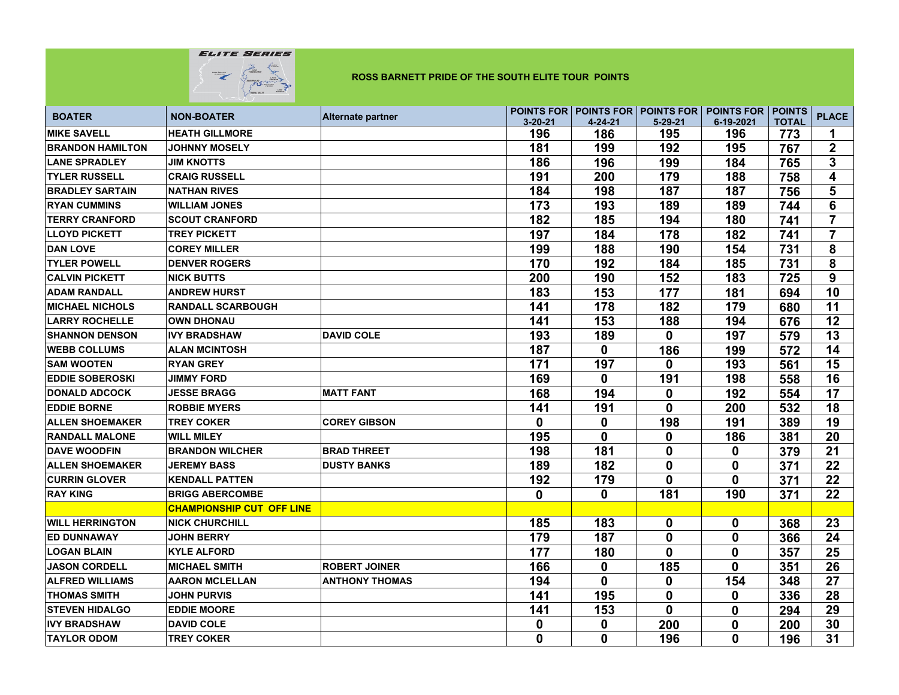

| <b>BOATER</b>           | <b>NON-BOATER</b>                | <b>Alternate partner</b> |               |              |                  | POINTS FOR   POINTS FOR   POINTS FOR   POINTS FOR   POINTS |              | <b>PLACE</b>            |
|-------------------------|----------------------------------|--------------------------|---------------|--------------|------------------|------------------------------------------------------------|--------------|-------------------------|
|                         |                                  |                          | $3 - 20 - 21$ | 4-24-21      | $5 - 29 - 21$    | 6-19-2021                                                  | <b>TOTAL</b> |                         |
| <b>MIKE SAVELL</b>      | <b>HEATH GILLMORE</b>            |                          | 196           | 186          | 195              | 196                                                        | 773          | 1                       |
| <b>BRANDON HAMILTON</b> | <b>JOHNNY MOSELY</b>             |                          | 181           | 199          | 192              | 195                                                        | 767          | $\overline{\mathbf{2}}$ |
| <b>LANE SPRADLEY</b>    | <b>JIM KNOTTS</b>                |                          | 186           | 196          | 199              | 184                                                        | 765          | $\overline{3}$          |
| <b>TYLER RUSSELL</b>    | <b>CRAIG RUSSELL</b>             |                          | 191           | 200          | 179              | 188                                                        | 758          | 4                       |
| <b>BRADLEY SARTAIN</b>  | <b>NATHAN RIVES</b>              |                          | 184           | 198          | 187              | 187                                                        | 756          | 5                       |
| <b>RYAN CUMMINS</b>     | <b>WILLIAM JONES</b>             |                          | 173           | 193          | 189              | 189                                                        | 744          | 6                       |
| <b>TERRY CRANFORD</b>   | <b>SCOUT CRANFORD</b>            |                          | 182           | 185          | 194              | 180                                                        | 741          | $\overline{7}$          |
| <b>LLOYD PICKETT</b>    | <b>TREY PICKETT</b>              |                          | 197           | 184          | 178              | 182                                                        | 741          | $\overline{7}$          |
| <b>DAN LOVE</b>         | <b>COREY MILLER</b>              |                          | 199           | 188          | 190              | 154                                                        | 731          | 8                       |
| <b>TYLER POWELL</b>     | <b>DENVER ROGERS</b>             |                          | 170           | 192          | 184              | 185                                                        | 731          | 8                       |
| <b>CALVIN PICKETT</b>   | <b>NICK BUTTS</b>                |                          | 200           | 190          | 152              | 183                                                        | 725          | 9                       |
| <b>ADAM RANDALL</b>     | <b>ANDREW HURST</b>              |                          | 183           | 153          | 177              | 181                                                        | 694          | 10                      |
| <b>MICHAEL NICHOLS</b>  | <b>RANDALL SCARBOUGH</b>         |                          | 141           | 178          | 182              | 179                                                        | 680          | 11                      |
| <b>LARRY ROCHELLE</b>   | <b>OWN DHONAU</b>                |                          | 141           | 153          | 188              | 194                                                        | 676          | 12                      |
| <b>SHANNON DENSON</b>   | <b>IVY BRADSHAW</b>              | <b>DAVID COLE</b>        | 193           | 189          | $\mathbf{0}$     | 197                                                        | 579          | 13                      |
| <b>WEBB COLLUMS</b>     | <b>ALAN MCINTOSH</b>             |                          | 187           | $\mathbf{0}$ | 186              | 199                                                        | 572          | 14                      |
| <b>SAM WOOTEN</b>       | <b>RYAN GREY</b>                 |                          | 171           | 197          | 0                | 193                                                        | 561          | 15                      |
| <b>EDDIE SOBEROSKI</b>  | <b>JIMMY FORD</b>                |                          | 169           | $\mathbf{0}$ | 191              | 198                                                        | 558          | 16                      |
| <b>DONALD ADCOCK</b>    | <b>JESSE BRAGG</b>               | <b>MATT FANT</b>         | 168           | 194          | 0                | 192                                                        | 554          | 17                      |
| <b>EDDIE BORNE</b>      | <b>ROBBIE MYERS</b>              |                          | 141           | 191          | 0                | 200                                                        | 532          | 18                      |
| <b>ALLEN SHOEMAKER</b>  | <b>TREY COKER</b>                | <b>COREY GIBSON</b>      | 0             | $\mathbf 0$  | 198              | 191                                                        | 389          | 19                      |
| <b>RANDALL MALONE</b>   | <b>WILL MILEY</b>                |                          | 195           | 0            | $\mathbf 0$      | 186                                                        | 381          | 20                      |
| <b>DAVE WOODFIN</b>     | <b>BRANDON WILCHER</b>           | <b>BRAD THREET</b>       | 198           | 181          | 0                | 0                                                          | 379          | 21                      |
| <b>ALLEN SHOEMAKER</b>  | <b>JEREMY BASS</b>               | <b>DUSTY BANKS</b>       | 189           | 182          | 0                | 0                                                          | 371          | 22                      |
| <b>CURRIN GLOVER</b>    | <b>KENDALL PATTEN</b>            |                          | 192           | 179          | 0                | 0                                                          | 371          | 22                      |
| <b>RAY KING</b>         | <b>BRIGG ABERCOMBE</b>           |                          | $\mathbf 0$   | 0            | 181              | 190                                                        | 371          | 22                      |
|                         | <b>CHAMPIONSHIP CUT OFF LINE</b> |                          |               |              |                  |                                                            |              |                         |
| <b>WILL HERRINGTON</b>  | <b>NICK CHURCHILL</b>            |                          | 185           | 183          | 0                | 0                                                          | 368          | 23                      |
| <b>ED DUNNAWAY</b>      | <b>JOHN BERRY</b>                |                          | 179           | 187          | $\bf{0}$         | $\mathbf 0$                                                | 366          | 24                      |
| <b>LOGAN BLAIN</b>      | <b>KYLE ALFORD</b>               |                          | 177           | 180          | 0                | 0                                                          | 357          | 25                      |
| <b>JASON CORDELL</b>    | <b>MICHAEL SMITH</b>             | <b>ROBERT JOINER</b>     | 166           | 0            | 185              | 0                                                          | 351          | 26                      |
| <b>ALFRED WILLIAMS</b>  | <b>AARON MCLELLAN</b>            | <b>ANTHONY THOMAS</b>    | 194           | $\mathbf{0}$ | $\boldsymbol{0}$ | 154                                                        | 348          | 27                      |
| <b>THOMAS SMITH</b>     | <b>JOHN PURVIS</b>               |                          | 141           | 195          | 0                | 0                                                          | 336          | 28                      |
| <b>STEVEN HIDALGO</b>   | <b>EDDIE MOORE</b>               |                          | 141           | 153          | 0                | 0                                                          | 294          | 29                      |
| <b>IVY BRADSHAW</b>     | <b>DAVID COLE</b>                |                          | 0             | 0            | 200              | 0                                                          | 200          | 30                      |
| <b>TAYLOR ODOM</b>      | <b>TREY COKER</b>                |                          | 0             | 0            | 196              | 0                                                          | 196          | 31                      |